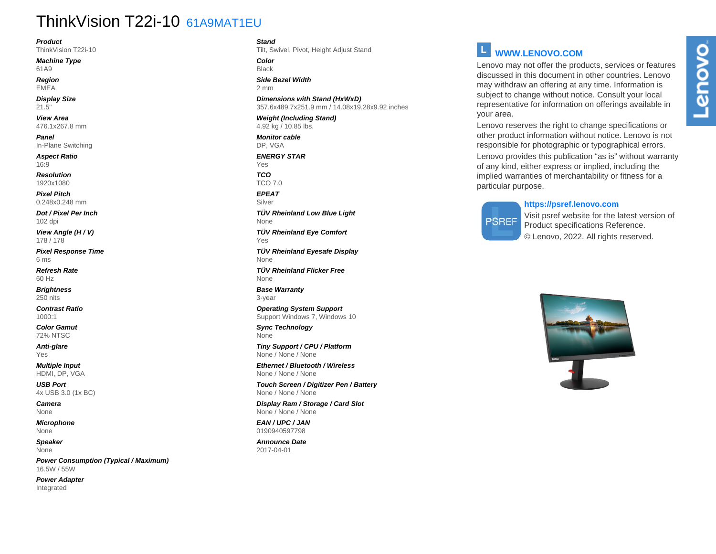# ThinkVision T22i-10 61A9MAT1EU

**Product**

ThinkVision T22i-10

**Machine Type** 61A9

**Region** EMEA

**Display Size** 21.5"

**View Area** 476.1x267.8 mm

**Panel** In-Plane Switching

**Aspect Ratio** 16:9

**Resolution** 1920x1080

**Pixel Pitch** 0.248x0.248 mm

**Dot / Pixel Per Inch** 102 dpi

**View Angle (H / V)** 178 / 178

**Pixel Response Time** 6 ms

**Refresh Rate** 60 Hz

**Brightness** 250 nits

**Contrast Ratio** 1000:1

**Color Gamut** 72% NTSC

**Anti-glare** Yes

**Multiple Input** HDMI, DP, VGA

**USB Port** 4x USB 3.0 (1x BC)

**Camera** None

**Microphone** None

**Speaker** None

**Power Consumption (Typical / Maximum)** 16.5W / 55W

**Power Adapter** Integrated

**Stand**

Tilt, Swivel, Pivot, Height Adjust Stand

**Color** Black

**Side Bezel Width** 2 mm

**Dimensions with Stand (HxWxD)** 357.6x489.7x251.9 mm / 14.08x19.28x9.92 inches

**Weight (Including Stand)** 4.92 kg / 10.85 lbs.

**Monitor cable** DP, VGA

**ENERGY STAR** Yes

**TCO** TCO 7.0

**EPEAT** Silver

**TÜV Rheinland Low Blue Light** None

**TÜV Rheinland Eye Comfort** Yes

**TÜV Rheinland Eyesafe Display** None

**TÜV Rheinland Flicker Free** None

**Base Warranty** 3-year

**Operating System Support** Support Windows 7, Windows 10

**Sync Technology** None

**Tiny Support / CPU / Platform** None / None / None

**Ethernet / Bluetooth / Wireless** None / None / None

**Touch Screen / Digitizer Pen / Battery** None / None / None

**Display Ram / Storage / Card Slot** None / None / None

**EAN / UPC / JAN** 0190940597798

**Announce Date** 2017-04-01

# **WWW.LENOVO.COM**

Lenovo may not offer the products, services or features discussed in this document in other countries. Lenovo may withdraw an offering at any time. Information is subject to change without notice. Consult your local representative for information on offerings available in your area.

Lenovo reserves the right to change specifications or other product information without notice. Lenovo is not responsible for photographic or typographical errors.

Lenovo provides this publication "as is" without warranty of any kind, either express or implied, including the implied warranties of merchantability or fitness for a particular purpose.

### **https://psref.lenovo.com**

# **PSREF**

Visit psref website for the latest version of Product specifications Reference. © Lenovo, 2022. All rights reserved.

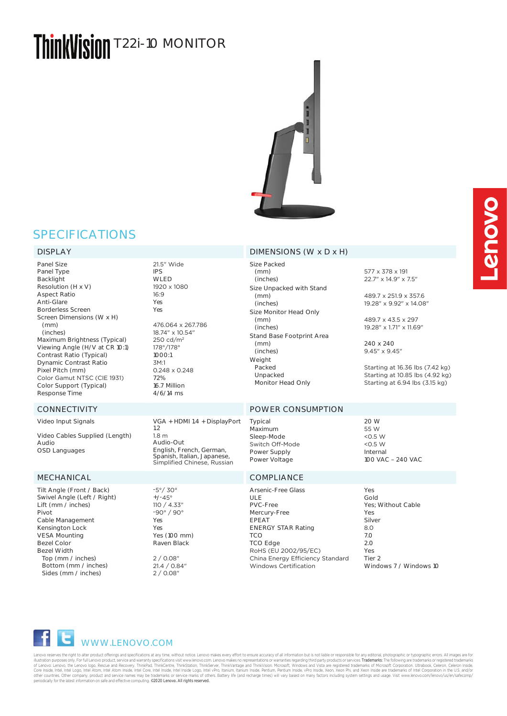# ThinkVisinn T22i-10 MONITOR



# SPECIFICATIONS

Panel Size Panel Type Backlight Resolution (H x V) Aspect Ratio Anti-Glare Borderless Screen Screen Dimensions (W x H) (mm) (inches) Maximum Brightness (Typical) Viewing Angle (H/V at CR 10:1) Contrast Ratio (Typical) Dynamic Contrast Ratio Pixel Pitch (mm) Color Gamut NTSC (CIE 1931) Color Support (Typical) Response Time

Video Input Signals Video Cables Supplied (Length) Audio OSD Languages

Tilt Angle (Front / Back) Swivel Angle (Left / Right) Lift (mm / inches) Pivot Cable Management Kensington Lock VESA Mounting Bezel Color Bezel Width Top (mm / inches) Bottom (mm / inches) Sides (mm / inches)

21.5" Wide IPS WLED 1920 x 1080 16:9 Yes Yes 476.064 x 267.786 18.74" x 10.54" 250 cd/m<sup>2</sup> 178°/178° 1000:1 3M:1 0.248 x 0.248 72% 16.7 Million 4/6/14 ms

1.2 1.8 m Audio-Out

-5°/ 30°  $+/-45^{\circ}$ 110 / 4.33" -90° / 90° Yes Yes

Yes (100 mm) Raven Black 2 / 0.08" 21.4 / 0.84" 2 / 0.08"

## DISPLAY DIMENSIONS (W x D x H)

Size Packed (mm) (inches) Size Unpacked with Stand (mm) (inches) Size Monitor Head Only (mm) (inches) Stand Base Footprint Area (mm) (inches) Weight Packed Unpacked Monitor Head Only

## CONNECTIVITY POWER CONSUMPTION

VGA + HDMI 1.4 + DisplayPort English, French, German, Spanish, Italian, Japanese, Simplified Chinese, Russian Typical Maximum Sleep-Mode Switch Off-Mode Power Supply Power Voltage

## MECHANICAL COMPLIANCE

Arsenic-Free Glass ULE PVC-Free Mercury-Free EPEAT ENERGY STAR Rating **TCO** TCO Edge RoHS (EU 2002/95/EC) China Energy Efficiency Standard Windows Certification Yes  $2^{\circ}$ 

577 x 378 x 191 22.7" x 14.9" x 7.5"

489.7 x 251.9 x 357.6 19.28" x 9.92" x 14.08"

489.7 x 43.5 x 297 19.28" x 1.71" x 11.69"

240 x 240 9.45" x 9.45"

Starting at 16.36 lbs (7.42 kg) Starting at 10.85 lbs (4.92 kg) Starting at 6.94 lbs (3.15 kg)

20 W 55 W  $< 0.5 W$  $<$  0.5 W Internal 100 VAC – 240 VAC

Gold Yes; Without Cable Yes Silver 8.0 7.0 Yes Tier 2 Windows 7 / Windows 10

WWW.LENOVO.COM

Lenovo reserves the right to alter product offerings and specifications at any time, without notice. Lenovo makes every effort to ensure accuracy of all information but is not liable or responsible for any editorial, photo illustration purposes only. For thill enovo product, service and warranly specifications visit www.lenovo.com. Lenovo comesperaltions or warrantes registring that Version the challemarks or registered trademarks in the loc